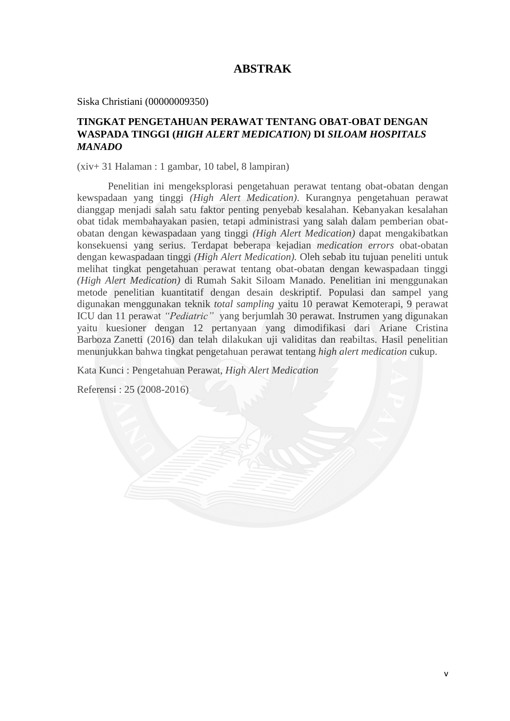## **ABSTRAK**

Siska Christiani (00000009350)

## **TINGKAT PENGETAHUAN PERAWAT TENTANG OBAT-OBAT DENGAN WASPADA TINGGI (***HIGH ALERT MEDICATION)* **DI** *SILOAM HOSPITALS MANADO*

(xiv+ 31 Halaman : 1 gambar, 10 tabel, 8 lampiran)

Penelitian ini mengeksplorasi pengetahuan perawat tentang obat-obatan dengan kewspadaan yang tinggi *(High Alert Medication)*. Kurangnya pengetahuan perawat dianggap menjadi salah satu faktor penting penyebab kesalahan. Kebanyakan kesalahan obat tidak membahayakan pasien, tetapi administrasi yang salah dalam pemberian obatobatan dengan kewaspadaan yang tinggi *(High Alert Medication)* dapat mengakibatkan konsekuensi yang serius. Terdapat beberapa kejadian *medication errors* obat-obatan dengan kewaspadaan tinggi *(High Alert Medication).* Oleh sebab itu tujuan peneliti untuk melihat tingkat pengetahuan perawat tentang obat-obatan dengan kewaspadaan tinggi *(High Alert Medication)* di Rumah Sakit Siloam Manado. Penelitian ini menggunakan metode penelitian kuantitatif dengan desain deskriptif. Populasi dan sampel yang digunakan menggunakan teknik *total sampling* yaitu 10 perawat Kemoterapi, 9 perawat ICU dan 11 perawat *"Pediatric"* yang berjumlah 30 perawat. Instrumen yang digunakan yaitu kuesioner dengan 12 pertanyaan yang dimodifikasi dari Ariane Cristina Barboza Zanetti (2016) dan telah dilakukan uji validitas dan reabiltas. Hasil penelitian menunjukkan bahwa tingkat pengetahuan perawat tentang *high alert medication* cukup.

Kata Kunci : Pengetahuan Perawat, *High Alert Medication*

Referensi : 25 (2008-2016)